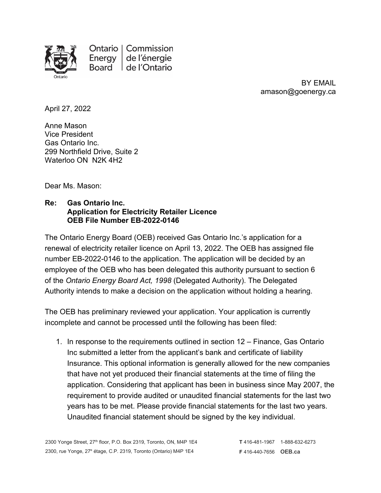

Ontario | Commission Energy | de l'énergie Board | de l'Ontario

> BY EMAIL amason@goenergy.ca

April 27, 2022

Anne Mason Vice President Gas Ontario Inc. 299 Northfield Drive, Suite 2 Waterloo ON N2K 4H2

Dear Ms. Mason:

## **Re: Gas Ontario Inc. Application for Electricity Retailer Licence OEB File Number EB-2022-0146**

The Ontario Energy Board (OEB) received Gas Ontario Inc.'s application for a renewal of electricity retailer licence on April 13, 2022. The OEB has assigned file number EB-2022-0146 to the application. The application will be decided by an employee of the OEB who has been delegated this authority pursuant to section 6 of the *Ontario Energy Board Act, 1998* (Delegated Authority). The Delegated Authority intends to make a decision on the application without holding a hearing.

The OEB has preliminary reviewed your application. Your application is currently incomplete and cannot be processed until the following has been filed:

1. In response to the requirements outlined in section 12 – Finance, Gas Ontario Inc submitted a letter from the applicant's bank and certificate of liability Insurance. This optional information is generally allowed for the new companies that have not yet produced their financial statements at the time of filing the application. Considering that applicant has been in business since May 2007, the requirement to provide audited or unaudited financial statements for the last two years has to be met. Please provide financial statements for the last two years. Unaudited financial statement should be signed by the key individual.